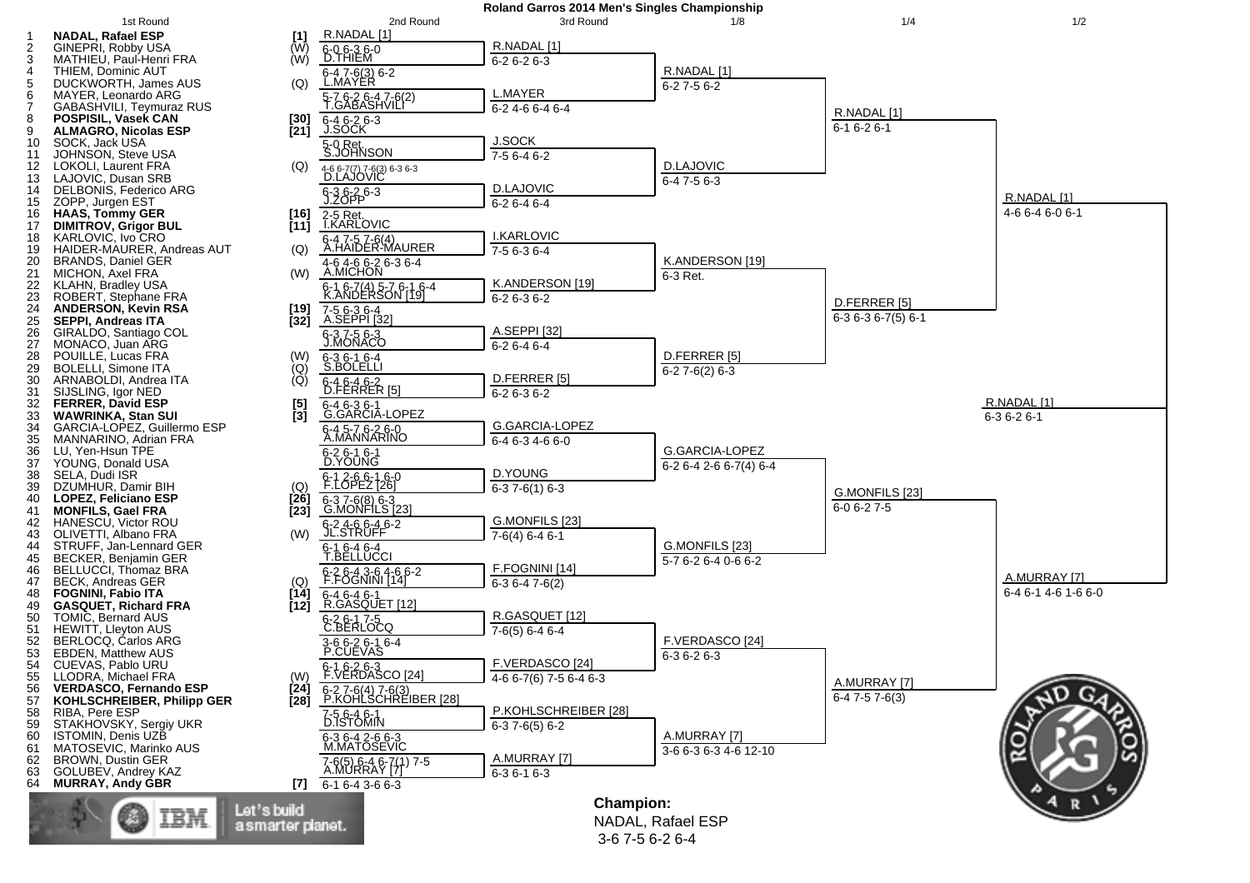